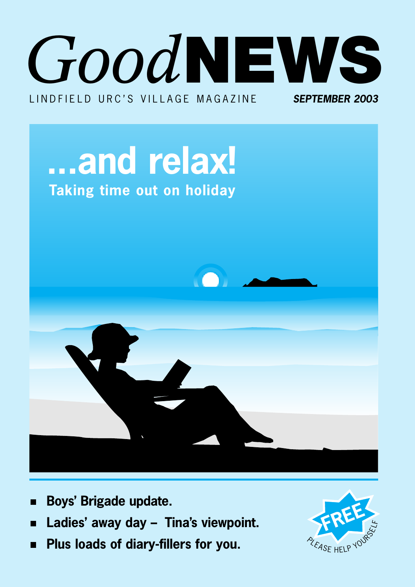# LINDFIELD URC'S VILLAGE MAGAZINE *SEPTEMBER 2003 Good***NEWS**



- **Boys' Brigade update.**
- **Ladies' away day Tina's viewpoint.**
- **Plus loads of diary-fillers for you.**

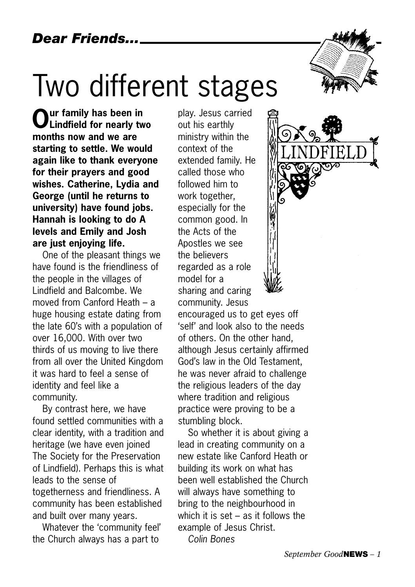*Dear Friends...*

# Two different stages

**Our family has been in Lindfield for nearly two months now and we are starting to settle. We would again like to thank everyone for their prayers and good wishes. Catherine, Lydia and George (until he returns to university) have found jobs. Hannah is looking to do A levels and Emily and Josh are just enjoying life.** 

One of the pleasant things we have found is the friendliness of the people in the villages of Lindfield and Balcombe. We moved from Canford Heath – a huge housing estate dating from the late 60's with a population of over 16,000. With over two thirds of us moving to live there from all over the United Kingdom it was hard to feel a sense of identity and feel like a community.

By contrast here, we have found settled communities with a clear identity, with a tradition and heritage (we have even joined The Society for the Preservation of Lindfield). Perhaps this is what leads to the sense of togetherness and friendliness. A community has been established and built over many years.

Whatever the 'community feel' the Church always has a part to

play. Jesus carried out his earthly ministry within the context of the extended family. He called those who followed him to work together, especially for the common good. In the Acts of the Apostles we see the believers regarded as a role model for a sharing and caring community. Jesus

encouraged us to get eyes off 'self' and look also to the needs of others. On the other hand, although Jesus certainly affirmed God's law in the Old Testament, he was never afraid to challenge the religious leaders of the day where tradition and religious practice were proving to be a stumbling block.

So whether it is about giving a lead in creating community on a new estate like Canford Heath or building its work on what has been well established the Church will always have something to bring to the neighbourhood in which it is set – as it follows the example of Jesus Christ. *Colin Bones*





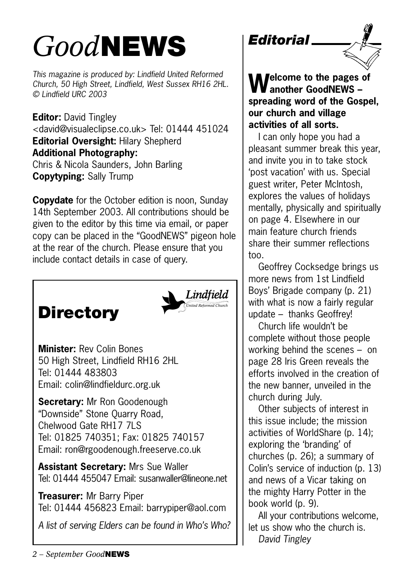# *Good***NEWS**

*This magazine is produced by: Lindfield United Reformed Church, 50 High Street, Lindfield, West Sussex RH16 2HL. © Lindfield URC 2003*

**Editor:** David Tingley <david@visualeclipse.co.uk> Tel: 01444 451024 **Editorial Oversight:** Hilary Shepherd **Additional Photography:** Chris & Nicola Saunders, John Barling **Copytyping:** Sally Trump

**Copydate** for the October edition is noon, Sunday 14th September 2003. All contributions should be given to the editor by this time via email, or paper copy can be placed in the "GoodNEWS" pigeon hole at the rear of the church. Please ensure that you include contact details in case of query.





**Minister:** Rev Colin Bones 50 High Street, Lindfield RH16 2HL Tel: 01444 483803 Email: colin@lindfieldurc.org.uk

**Secretary:** Mr Ron Goodenough "Downside" Stone Quarry Road, Chelwood Gate RH17 7LS Tel: 01825 740351; Fax: 01825 740157 Email: ron@rgoodenough.freeserve.co.uk

**Assistant Secretary:** Mrs Sue Waller Tel: 01444 455047 Email: susanwaller@lineone.net

**Treasurer:** Mr Barry Piper Tel: 01444 456823 Email: barrypiper@aol.com

*A list of serving Elders can be found in Who's Who?*





**M** elcome to the pages of **another GoodNEWS – spreading word of the Gospel, our church and village activities of all sorts.**

I can only hope you had a pleasant summer break this year, and invite you in to take stock 'post vacation' with us. Special guest writer, Peter McIntosh, explores the values of holidays mentally, physically and spiritually on page 4. Elsewhere in our main feature church friends share their summer reflections too.

Geoffrey Cocksedge brings us more news from 1st Lindfield Boys' Brigade company (p. 21) with what is now a fairly regular update – thanks Geoffrey!

Church life wouldn't be complete without those people working behind the scenes – on page 28 Iris Green reveals the efforts involved in the creation of the new banner, unveiled in the church during July.

Other subjects of interest in this issue include; the mission activities of WorldShare (p. 14); exploring the 'branding' of churches (p. 26); a summary of Colin's service of induction (p. 13) and news of a Vicar taking on the mighty Harry Potter in the book world (p. 9).

All your contributions welcome, let us show who the church is. *David Tingley*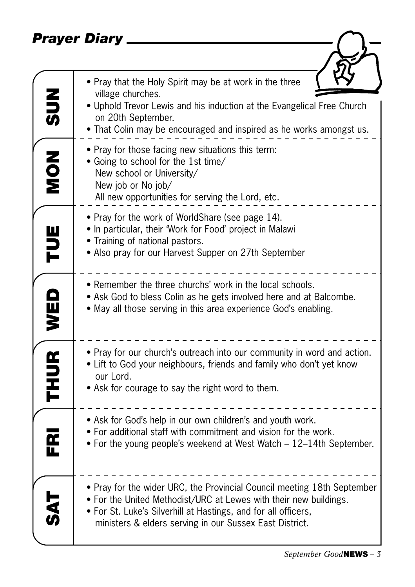| $rac{2}{5}$     | • Pray that the Holy Spirit may be at work in the three<br>village churches.<br>• Uphold Trevor Lewis and his induction at the Evangelical Free Church<br>on 20th September.<br>. That Colin may be encouraged and inspired as he works amongst us.                       |
|-----------------|---------------------------------------------------------------------------------------------------------------------------------------------------------------------------------------------------------------------------------------------------------------------------|
| NON             | • Pray for those facing new situations this term:<br>• Going to school for the 1st time/<br>New school or University/<br>New job or No job/<br>All new opportunities for serving the Lord, etc.                                                                           |
| $\frac{11}{11}$ | • Pray for the work of WorldShare (see page 14).<br>• In particular, their 'Work for Food' project in Malawi<br>• Training of national pastors.<br>• Also pray for our Harvest Supper on 27th September                                                                   |
| WED             | • Remember the three churchs' work in the local schools.<br>• Ask God to bless Colin as he gets involved here and at Balcombe.<br>• May all those serving in this area experience God's enabling.                                                                         |
| <b>THUR</b>     | • Pray for our church's outreach into our community in word and action.<br>• Lift to God your neighbours, friends and family who don't yet know<br>our Lord.<br>• Ask for courage to say the right word to them.                                                          |
| FRI             | • Ask for God's help in our own children's and youth work.<br>• For additional staff with commitment and vision for the work.<br>• For the young people's weekend at West Watch - 12-14th September.                                                                      |
| <b>RAS</b>      | • Pray for the wider URC, the Provincial Council meeting 18th September<br>• For the United Methodist/URC at Lewes with their new buildings.<br>• For St. Luke's Silverhill at Hastings, and for all officers,<br>ministers & elders serving in our Sussex East District. |

—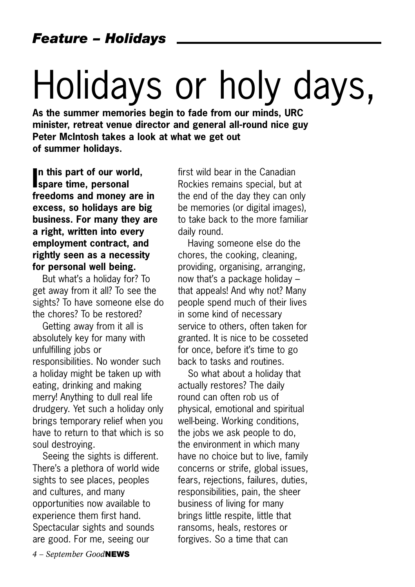# Holidays or holy days,

**As the summer memories begin to fade from our minds, URC minister, retreat venue director and general all-round nice guy Peter McIntosh takes a look at what we get out of summer holidays.**

In this part of our words<br> **Spare time, personal n this part of our world, freedoms and money are in excess, so holidays are big business. For many they are a right, written into every employment contract, and rightly seen as a necessity for personal well being.**

But what's a holiday for? To get away from it all? To see the sights? To have someone else do the chores? To be restored?

Getting away from it all is absolutely key for many with unfulfilling jobs or responsibilities. No wonder such a holiday might be taken up with eating, drinking and making merry! Anything to dull real life drudgery. Yet such a holiday only brings temporary relief when you have to return to that which is so soul destroying.

Seeing the sights is different. There's a plethora of world wide sights to see places, peoples and cultures, and many opportunities now available to experience them first hand. Spectacular sights and sounds are good. For me, seeing our

first wild bear in the Canadian Rockies remains special, but at the end of the day they can only be memories (or digital images), to take back to the more familiar daily round.

Having someone else do the chores, the cooking, cleaning, providing, organising, arranging, now that's a package holiday – that appeals! And why not? Many people spend much of their lives in some kind of necessary service to others, often taken for granted. It is nice to be cosseted for once, before it's time to go back to tasks and routines.

So what about a holiday that actually restores? The daily round can often rob us of physical, emotional and spiritual well-being. Working conditions, the jobs we ask people to do, the environment in which many have no choice but to live, family concerns or strife, global issues, fears, rejections, failures, duties, responsibilities, pain, the sheer business of living for many brings little respite, little that ransoms, heals, restores or forgives. So a time that can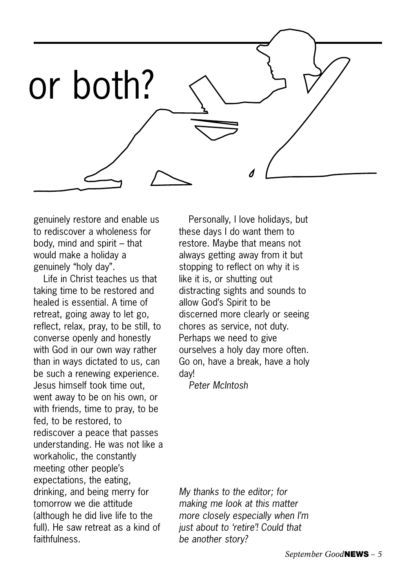

genuinely restore and enable us to rediscover a wholeness for body, mind and spirit – that would make a holiday a genuinely "holy day".

Life in Christ teaches us that taking time to be restored and healed is essential. A time of retreat, going away to let go, reflect, relax, pray, to be still, to converse openly and honestly with God in our own way rather than in ways dictated to us, can be such a renewing experience. Jesus himself took time out, went away to be on his own, or with friends, time to pray, to be fed, to be restored, to rediscover a peace that passes understanding. He was not like a workaholic, the constantly meeting other people's expectations, the eating, drinking, and being merry for tomorrow we die attitude (although he did live life to the full). He saw retreat as a kind of faithfulness.

Personally, I love holidays, but these days I do want them to restore. Maybe that means not always getting away from it but stopping to reflect on why it is like it is, or shutting out distracting sights and sounds to allow God's Spirit to be discerned more clearly or seeing chores as service, not duty. Perhaps we need to give ourselves a holy day more often. Go on, have a break, have a holy day!

*Peter McIntosh*

*My thanks to the editor; for making me look at this matter more closely especially when I'm just about to 'retire'! Could that be another story?*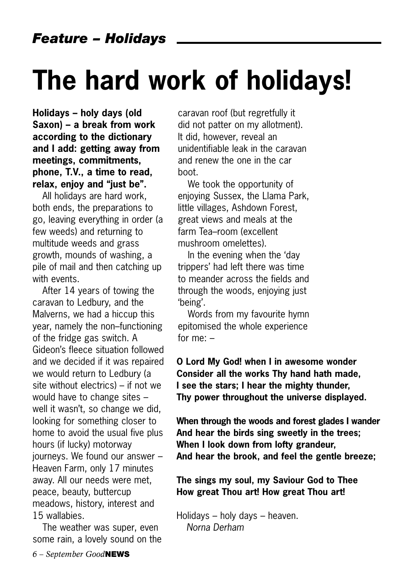# **The hard work of holidays!**

**Holidays – holy days (old Saxon) – a break from work according to the dictionary and I add: getting away from meetings, commitments, phone, T.V., a time to read, relax, enjoy and "just be".** 

All holidays are hard work, both ends, the preparations to go, leaving everything in order (a few weeds) and returning to multitude weeds and grass growth, mounds of washing, a pile of mail and then catching up with events.

After 14 years of towing the caravan to Ledbury, and the Malverns, we had a hiccup this year, namely the non–functioning of the fridge gas switch. A Gideon's fleece situation followed and we decided if it was repaired we would return to Ledbury (a site without electrics) – if not we would have to change sites – well it wasn't, so change we did, looking for something closer to home to avoid the usual five plus hours (if lucky) motorway journeys. We found our answer – Heaven Farm, only 17 minutes away. All our needs were met, peace, beauty, buttercup meadows, history, interest and 15 wallabies.

The weather was super, even some rain, a lovely sound on the

caravan roof (but regretfully it did not patter on my allotment). It did, however, reveal an unidentifiable leak in the caravan and renew the one in the car boot.

We took the opportunity of enjoying Sussex, the Llama Park, little villages, Ashdown Forest, great views and meals at the farm Tea–room (excellent mushroom omelettes).

In the evening when the 'day trippers' had left there was time to meander across the fields and through the woods, enjoying just 'being'.

Words from my favourite hymn epitomised the whole experience for me: –

**O Lord My God! when I in awesome wonder Consider all the works Thy hand hath made, I see the stars; I hear the mighty thunder, Thy power throughout the universe displayed.**

**When through the woods and forest glades I wander And hear the birds sing sweetly in the trees; When I look down from lofty grandeur, And hear the brook, and feel the gentle breeze;**

**The sings my soul, my Saviour God to Thee How great Thou art! How great Thou art!**

Holidays – holy days – heaven. *Norna Derham*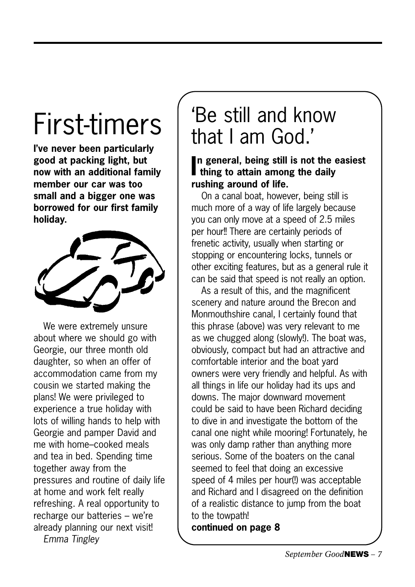# First-timers

**I've never been particularly good at packing light, but now with an additional family member our car was too small and a bigger one was borrowed for our first family holiday.** 



We were extremely unsure about where we should go with Georgie, our three month old daughter, so when an offer of accommodation came from my cousin we started making the plans! We were privileged to experience a true holiday with lots of willing hands to help with Georgie and pamper David and me with home–cooked meals and tea in bed. Spending time together away from the pressures and routine of daily life at home and work felt really refreshing. A real opportunity to recharge our batteries – we're already planning our next visit! *Emma Tingley*

### 'Be still and know that I am God.'

#### In general, being still is not the easiest<br>thing to attain among the daily **thing to attain among the daily rushing around of life.**

On a canal boat, however, being still is much more of a way of life largely because you can only move at a speed of 2.5 miles per hour!! There are certainly periods of frenetic activity, usually when starting or stopping or encountering locks, tunnels or other exciting features, but as a general rule it can be said that speed is not really an option.

As a result of this, and the magnificent scenery and nature around the Brecon and Monmouthshire canal, I certainly found that this phrase (above) was very relevant to me as we chugged along (slowly!). The boat was, obviously, compact but had an attractive and comfortable interior and the boat yard owners were very friendly and helpful. As with all things in life our holiday had its ups and downs. The major downward movement could be said to have been Richard deciding to dive in and investigate the bottom of the canal one night while mooring! Fortunately, he was only damp rather than anything more serious. Some of the boaters on the canal seemed to feel that doing an excessive speed of 4 miles per hour(!) was acceptable and Richard and I disagreed on the definition of a realistic distance to jump from the boat to the towpath!

**continued on page 8**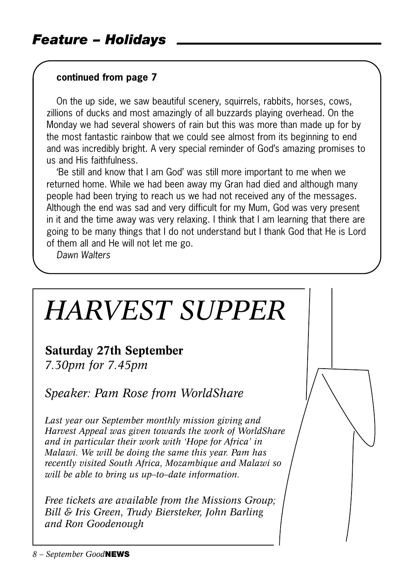#### **continued from page 7**

On the up side, we saw beautiful scenery, squirrels, rabbits, horses, cows, zillions of ducks and most amazingly of all buzzards playing overhead. On the Monday we had several showers of rain but this was more than made up for by the most fantastic rainbow that we could see almost from its beginning to end and was incredibly bright. A very special reminder of God's amazing promises to us and His faithfulness.

'Be still and know that I am God' was still more important to me when we returned home. While we had been away my Gran had died and although many people had been trying to reach us we had not received any of the messages. Although the end was sad and very difficult for my Mum, God was very present in it and the time away was very relaxing. I think that I am learning that there are going to be many things that I do not understand but I thank God that He is Lord of them all and He will not let me go.

*Dawn Walters*

### *HARVEST SUPPER* **Saturday 27th September**  *7.30pm for 7.45pm Speaker: Pam Rose from WorldShare Last year our September monthly mission giving and Harvest Appeal was given towards the work of WorldShare and in particular their work with 'Hope for Africa' in Malawi. We will be doing the same this year. Pam has recently visited South Africa, Mozambique and Malawi so will be able to bring us up–to–date information. Free tickets are available from the Missions Group; Bill & Iris Green, Trudy Biersteker, John Barling and Ron Goodenough*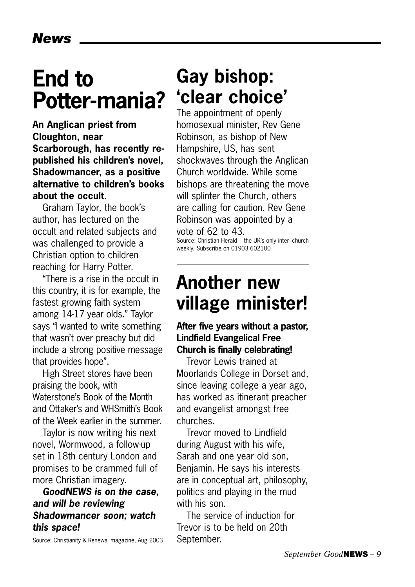#### *News*

### **End to Potter-mania?**

**An Anglican priest from Cloughton, near Scarborough, has recently republished his children's novel, Shadowmancer, as a positive alternative to children's books about the occult.**

Graham Taylor, the book's author, has lectured on the occult and related subjects and was challenged to provide a Christian option to children reaching for Harry Potter.

"There is a rise in the occult in this country, it is for example, the fastest growing faith system among 14-17 year olds." Taylor says "I wanted to write something that wasn't over preachy but did include a strong positive message that provides hope".

High Street stores have been praising the book, with Waterstone's Book of the Month and Ottaker's and WHSmith's Book of the Week earlier in the summer.

Taylor is now writing his next novel, Wormwood, a follow-up set in 18th century London and promises to be crammed full of more Christian imagery.

#### *GoodNEWS is on the case, and will be reviewing Shadowmancer soon; watch this space!*

Source: Christianity & Renewal magazine, Aug 2003

### **Gay bishop: 'clear choice'**

The appointment of openly homosexual minister, Rev Gene Robinson, as bishop of New Hampshire, US, has sent shockwaves through the Anglican Church worldwide. While some bishops are threatening the move will splinter the Church, others are calling for caution. Rev Gene Robinson was appointed by a vote of 62 to 43. Source: Christian Herald – the UK's only inter–church weekly. Subscribe on 01903 602100

### **Another new village minister!**

#### **After five years without a pastor, Lindfield Evangelical Free Church is finally celebrating!**

Trevor Lewis trained at Moorlands College in Dorset and, since leaving college a year ago, has worked as itinerant preacher and evangelist amongst free churches.

Trevor moved to Lindfield during August with his wife, Sarah and one year old son, Benjamin. He says his interests are in conceptual art, philosophy, politics and playing in the mud with his son.

The service of induction for Trevor is to be held on 20th September.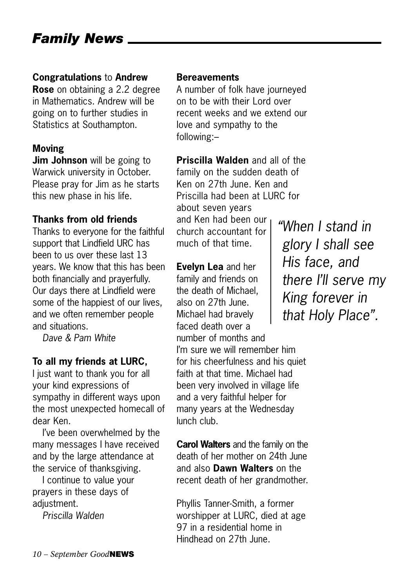#### *Family News*

#### **Congratulations** to **Andrew**

**Rose** on obtaining a 2.2 degree in Mathematics. Andrew will be going on to further studies in Statistics at Southampton.

#### **Moving**

**Jim Johnson** will be going to Warwick university in October. Please pray for Jim as he starts this new phase in his life.

#### **Thanks from old friends**

Thanks to everyone for the faithful support that Lindfield URC has been to us over these last 13 years. We know that this has been both financially and prayerfully. Our days there at Lindfield were some of the happiest of our lives, and we often remember people and situations.

*Dave & Pam White*

#### **To all my friends at LURC,**

I just want to thank you for all your kind expressions of sympathy in different ways upon the most unexpected homecall of dear Ken.

I've been overwhelmed by the many messages I have received and by the large attendance at the service of thanksgiving.

I continue to value your prayers in these days of adiustment.

*Priscilla Walden*

#### **Bereavements**

A number of folk have journeyed on to be with their Lord over recent weeks and we extend our love and sympathy to the following:–

**Priscilla Walden** and all of the family on the sudden death of Ken on 27th June. Ken and Priscilla had been at LURC for about seven years and Ken had been our church accountant for much of that time.

**Evelyn Lea** and her family and friends on the death of Michael, also on 27th June. Michael had bravely faced death over a number of months and I'm sure we will remember him for his cheerfulness and his quiet faith at that time. Michael had been very involved in village life and a very faithful helper for many years at the Wednesday lunch club.

**Carol Walters** and the family on the death of her mother on 24th June and also **Dawn Walters** on the recent death of her grandmother.

Phyllis Tanner-Smith, a former worshipper at LURC, died at age 97 in a residential home in Hindhead on 27th June.

*"When I stand in glory I shall see His face, and there I'll serve my King forever in that Holy Place".*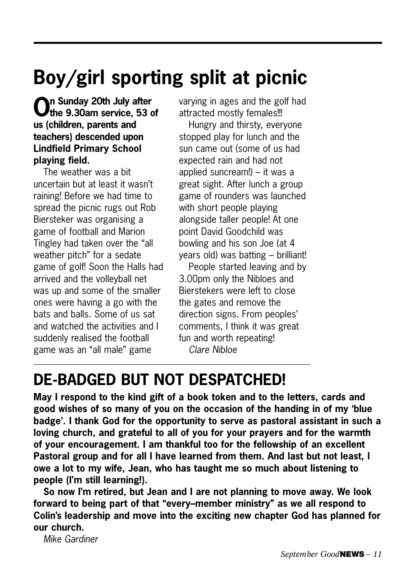### **Boy/girl sporting split at picnic**

**On Sunday 20th July after the 9.30am service, 53 of us (children, parents and teachers) descended upon Lindfield Primary School playing field.** 

The weather was a bit uncertain but at least it wasn't raining! Before we had time to spread the picnic rugs out Rob Biersteker was organising a game of football and Marion Tingley had taken over the "all weather pitch" for a sedate game of golf! Soon the Halls had arrived and the volleyball net was up and some of the smaller ones were having a go with the bats and balls. Some of us sat and watched the activities and I suddenly realised the football game was an "all male" game

varying in ages and the golf had attracted mostly females!!!

Hungry and thirsty, everyone stopped play for lunch and the sun came out (some of us had expected rain and had not applied suncream!) – it was a great sight. After lunch a group game of rounders was launched with short people playing alongside taller people! At one point David Goodchild was bowling and his son Joe (at 4 years old) was batting – brilliant!

People started leaving and by 3.00pm only the Nibloes and Bierstekers were left to close the gates and remove the direction signs. From peoples' comments, I think it was great fun and worth repeating! *Clare Nibloe*

### **DE-BADGED BUT NOT DESPATCHED!**

**May I respond to the kind gift of a book token and to the letters, cards and good wishes of so many of you on the occasion of the handing in of my 'blue badge'. I thank God for the opportunity to serve as pastoral assistant in such a loving church, and grateful to all of you for your prayers and for the warmth of your encouragement. I am thankful too for the fellowship of an excellent Pastoral group and for all I have learned from them. And last but not least, I owe a lot to my wife, Jean, who has taught me so much about listening to people (I'm still learning!).**

**So now I'm retired, but Jean and I are not planning to move away. We look forward to being part of that "every–member ministry" as we all respond to Colin's leadership and move into the exciting new chapter God has planned for our church.** 

*Mike Gardiner*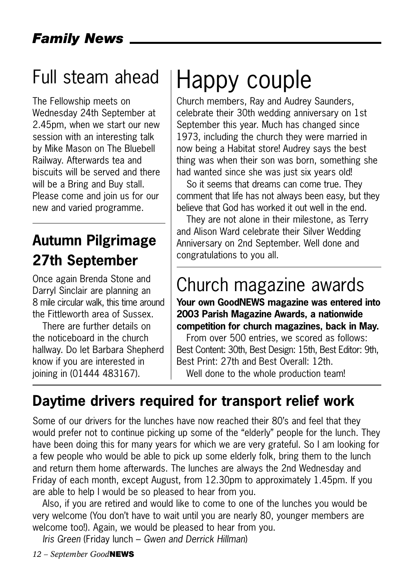### Full steam ahead

The Fellowship meets on Wednesday 24th September at 2.45pm, when we start our new session with an interesting talk by Mike Mason on The Bluebell Railway. Afterwards tea and biscuits will be served and there will be a Bring and Buy stall. Please come and join us for our new and varied programme.

### **Autumn Pilgrimage 27th September**

Once again Brenda Stone and Darryl Sinclair are planning an 8 mile circular walk, this time around the Fittleworth area of Sussex.

There are further details on the noticeboard in the church hallway. Do let Barbara Shepherd know if you are interested in joining in (01444 483167).

## Happy couple

Church members, Ray and Audrey Saunders, celebrate their 30th wedding anniversary on 1st September this year. Much has changed since 1973, including the church they were married in now being a Habitat store! Audrey says the best thing was when their son was born, something she had wanted since she was just six years old!

So it seems that dreams can come true. They comment that life has not always been easy, but they believe that God has worked it out well in the end.

They are not alone in their milestone, as Terry and Alison Ward celebrate their Silver Wedding Anniversary on 2nd September. Well done and congratulations to you all.

#### Church magazine awards **Your own GoodNEWS magazine was entered into 2003 Parish Magazine Awards, a nationwide**

**competition for church magazines, back in May.**  From over 500 entries, we scored as follows: Best Content: 30th, Best Design: 15th, Best Editor: 9th, Best Print: 27th and Best Overall: 12th. Well done to the whole production team!

### **Daytime drivers required for transport relief work**

Some of our drivers for the lunches have now reached their 80's and feel that they would prefer not to continue picking up some of the "elderly" people for the lunch. They have been doing this for many years for which we are very grateful. So I am looking for a few people who would be able to pick up some elderly folk, bring them to the lunch and return them home afterwards. The lunches are always the 2nd Wednesday and Friday of each month, except August, from 12.30pm to approximately 1.45pm. If you are able to help I would be so pleased to hear from you.

Also, if you are retired and would like to come to one of the lunches you would be very welcome (You don't have to wait until you are nearly 80, younger members are welcome too!). Again, we would be pleased to hear from you.

*Iris Green* (Friday lunch – *Gwen and Derrick Hillman*)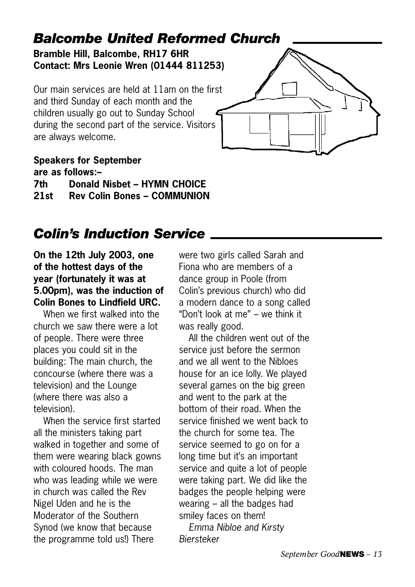#### *Balcombe United Reformed Church*

**Bramble Hill, Balcombe, RH17 6HR Contact: Mrs Leonie Wren (01444 811253)**

Our main services are held at 11am on the first and third Sunday of each month and the children usually go out to Sunday School during the second part of the service. Visitors are always welcome.



**Speakers for September are as follows:– 7th Donald Nisbet – HYMN CHOICE 21st Rev Colin Bones – COMMUNION**

#### *Colin's Induction Service*

**On the 12th July 2003, one of the hottest days of the year (fortunately it was at 5.00pm), was the induction of Colin Bones to Lindfield URC.**

When we first walked into the church we saw there were a lot of people. There were three places you could sit in the building: The main church, the concourse (where there was a television) and the Lounge (where there was also a television).

When the service first started all the ministers taking part walked in together and some of them were wearing black gowns with coloured hoods. The man who was leading while we were in church was called the Rev Nigel Uden and he is the Moderator of the Southern Synod (we know that because the programme told us!) There

were two girls called Sarah and Fiona who are members of a dance group in Poole (from Colin's previous church) who did a modern dance to a song called "Don't look at me" – we think it was really good.

All the children went out of the service just before the sermon and we all went to the Nibloes house for an ice lolly. We played several games on the big green and went to the park at the bottom of their road. When the service finished we went back to the church for some tea. The service seemed to go on for a long time but it's an important service and quite a lot of people were taking part. We did like the badges the people helping were wearing – all the badges had smiley faces on them!

*Emma Nibloe and Kirsty Biersteker*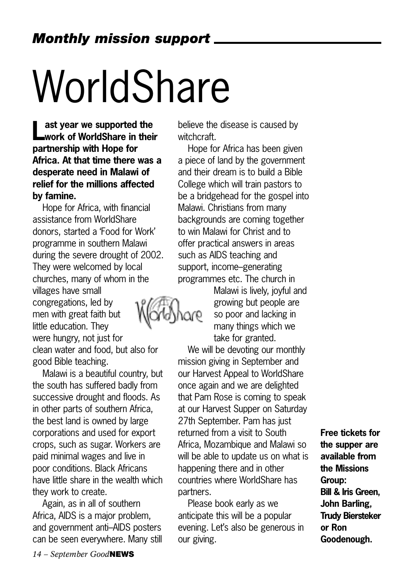# WorldShare

**Last year we supported the work of WorldShare in their partnership with Hope for Africa. At that time there was a desperate need in Malawi of relief for the millions affected by famine.**

Hope for Africa, with financial assistance from WorldShare donors, started a 'Food for Work' programme in southern Malawi during the severe drought of 2002. They were welcomed by local churches, many of whom in the villages have small congregations, led by men with great faith but little education. They were hungry, not just for clean water and food, but also for good Bible teaching.

Malawi is a beautiful country, but the south has suffered badly from successive drought and floods. As in other parts of southern Africa, the best land is owned by large corporations and used for export crops, such as sugar. Workers are paid minimal wages and live in poor conditions. Black Africans have little share in the wealth which they work to create.

Again, as in all of southern Africa, AIDS is a major problem, and government anti–AIDS posters can be seen everywhere. Many still

believe the disease is caused by witchcraft.

Hope for Africa has been given a piece of land by the government and their dream is to build a Bible College which will train pastors to be a bridgehead for the gospel into Malawi. Christians from many backgrounds are coming together to win Malawi for Christ and to offer practical answers in areas such as AIDS teaching and support, income–generating programmes etc. The church in

are

Malawi is lively, joyful and growing but people are so poor and lacking in many things which we take for granted.

We will be devoting our monthly mission giving in September and our Harvest Appeal to WorldShare once again and we are delighted that Pam Rose is coming to speak at our Harvest Supper on Saturday 27th September. Pam has just returned from a visit to South Africa, Mozambique and Malawi so will be able to update us on what is happening there and in other countries where WorldShare has partners.

Please book early as we anticipate this will be a popular evening. Let's also be generous in our giving.

**Free tickets for the supper are available from the Missions Group: Bill & Iris Green, John Barling, Trudy Biersteker or Ron Goodenough.**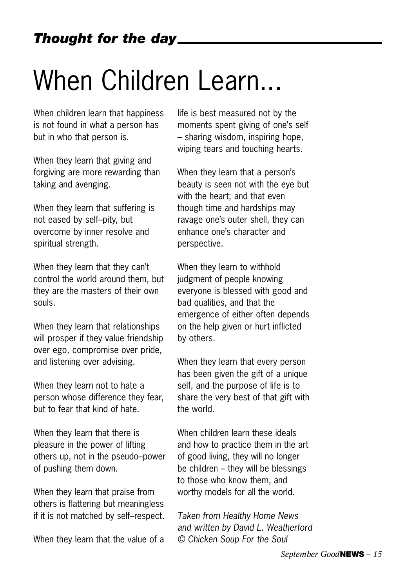# When Children Learn...

When children learn that happiness is not found in what a person has but in who that person is.

When they learn that giving and forgiving are more rewarding than taking and avenging.

When they learn that suffering is not eased by self–pity, but overcome by inner resolve and spiritual strength.

When they learn that they can't control the world around them, but they are the masters of their own souls.

When they learn that relationships will prosper if they value friendship over ego, compromise over pride, and listening over advising.

When they learn not to hate a person whose difference they fear, but to fear that kind of hate.

When they learn that there is pleasure in the power of lifting others up, not in the pseudo–power of pushing them down.

When they learn that praise from others is flattering but meaningless if it is not matched by self–respect.

When they learn that the value of a

life is best measured not by the moments spent giving of one's self – sharing wisdom, inspiring hope, wiping tears and touching hearts.

When they learn that a person's beauty is seen not with the eye but with the heart; and that even though time and hardships may ravage one's outer shell, they can enhance one's character and perspective.

When they learn to withhold judgment of people knowing everyone is blessed with good and bad qualities, and that the emergence of either often depends on the help given or hurt inflicted by others.

When they learn that every person has been given the gift of a unique self, and the purpose of life is to share the very best of that gift with the world.

When children learn these ideals and how to practice them in the art of good living, they will no longer be children – they will be blessings to those who know them, and worthy models for all the world.

*Taken from Healthy Home News and written by David L. Weatherford © Chicken Soup For the Soul*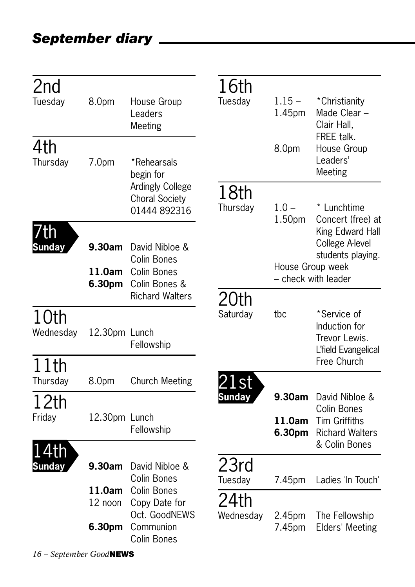| 2nd<br>Tuesday    | 8.0pm             | House Group<br>Leaders<br>Meeting                         | 16th<br>Tuesday   | $1.15 -$<br>1.45pm | *Christianity<br>Made Clear -<br>Clair Hall,                                        |  |
|-------------------|-------------------|-----------------------------------------------------------|-------------------|--------------------|-------------------------------------------------------------------------------------|--|
| 4th<br>Thursday   | 7.0 <sub>pm</sub> | *Rehearsals<br>begin for                                  |                   | 8.0pm              | FREE talk.<br>House Group<br>Leaders'<br>Meeting                                    |  |
|                   |                   | Ardingly College<br><b>Choral Society</b><br>01444 892316 | 18th<br>Thursday  | $1.0 -$<br>1.50pm  | * Lunchtime<br>Concert (free) at                                                    |  |
| <b>Sunday</b>     | 9.30am            | David Nibloe &<br><b>Colin Bones</b>                      |                   |                    | King Edward Hall<br>College A-level<br>students playing.                            |  |
|                   | 11.0am<br>6.30pm  | <b>Colin Bones</b><br>Colin Bones &                       |                   | House Group week   | - check with leader                                                                 |  |
|                   |                   | <b>Richard Walters</b>                                    | 20th              |                    |                                                                                     |  |
| 10th<br>Wednesday | 12.30pm Lunch     | Fellowship                                                | Saturday          | tbc                | *Service of<br>Induction for<br>Trevor Lewis.<br>L'field Evangelical<br>Free Church |  |
| 11th<br>Thursday  | 8.0pm             | <b>Church Meeting</b>                                     | 21st              |                    |                                                                                     |  |
| 12th              |                   |                                                           | <b>Sunday</b>     | 9.30am             | David Nibloe &                                                                      |  |
| Friday            | 12.30pm Lunch     | Fellowship                                                |                   | 11.0am<br>6.30pm   | Colin Bones<br><b>Tim Griffiths</b><br><b>Richard Walters</b><br>& Colin Bones      |  |
| 4fh               |                   |                                                           |                   |                    |                                                                                     |  |
| <b>Sundav</b>     | 9.30am            | David Nibloe &<br>Colin Bones                             | 23rd<br>Tuesday   | 7.45pm             | Ladies 'In Touch'                                                                   |  |
|                   | 11.0am<br>12 noon | Colin Bones<br>Copy Date for<br>Oct. GoodNEWS             | 24th<br>Wednesday | 2.45pm             | The Fellowship                                                                      |  |
|                   | 6.30pm            | Communion<br>Colin Bones                                  |                   | 7.45pm             | Elders' Meeting                                                                     |  |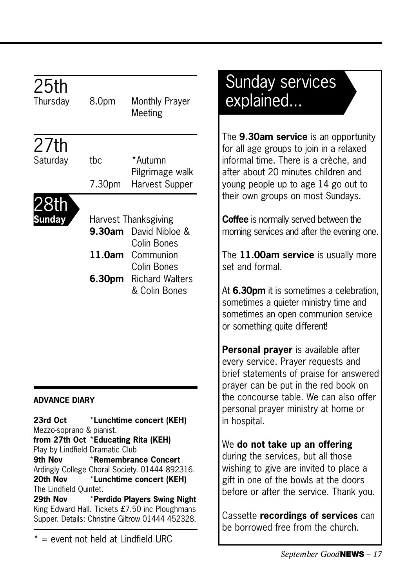| 25th<br>Thursday | 8.0pm                                     | Monthly Prayer<br>Meeting                                                                                   | <b>Sunday services</b><br>explained                                                                                                                                                                    |
|------------------|-------------------------------------------|-------------------------------------------------------------------------------------------------------------|--------------------------------------------------------------------------------------------------------------------------------------------------------------------------------------------------------|
| 27th<br>Saturday | tbc<br>7.30pm                             | * Autumn<br>Pilgrimage walk<br>Harvest Supper                                                               | The 9.30am service is an opportunity<br>for all age groups to join in a relaxed<br>informal time. There is a crèche, and<br>after about 20 minutes children and<br>young people up to age 14 go out to |
| Sunday           | $9.30$ am<br>11.0am<br>6.30 <sub>pm</sub> | Harvest Thanksgiving<br>David Nibloe &<br>Colin Bones<br>Communion<br>Colin Bones<br><b>Richard Walters</b> | their own groups on most Sundays.<br><b>Coffee</b> is normally served between the<br>morning services and after the evening one.<br>The 11.00am service is usually more<br>set and formal.             |
|                  |                                           | & Colin Bones                                                                                               | At 6.30pm it is sometimes a celebration.                                                                                                                                                               |

At **6.30pm** it is sometimes a celebration, sometimes a quieter ministry time and sometimes an open communion service or something quite different!

**Personal prayer** is available after every service. Prayer requests and brief statements of praise for answered prayer can be put in the red book on the concourse table. We can also offer personal prayer ministry at home or in hospital.

We **do not take up an offering** during the services, but all those wishing to give are invited to place a gift in one of the bowls at the doors before or after the service. Thank you.

Cassette **recordings of services** can be borrowed free from the church.

#### **ADVANCE DIARY**

**23rd Oct** \***Lunchtime concert (KEH)** Mezzo-soprano & pianist. **from 27th Oct** \***Educating Rita (KEH)** Play by Lindfield Dramatic Club **9th Nov** \***Remembrance Concert** Ardingly College Choral Society. 01444 892316. **20th Nov** \***Lunchtime concert (KEH)** The Lindfield Quintet. **29th Nov** \***Perdido Players Swing Night** King Edward Hall. Tickets £7.50 inc Ploughmans Supper. Details: Christine Giltrow 01444 452328.

 $t =$  event not held at Lindfield URC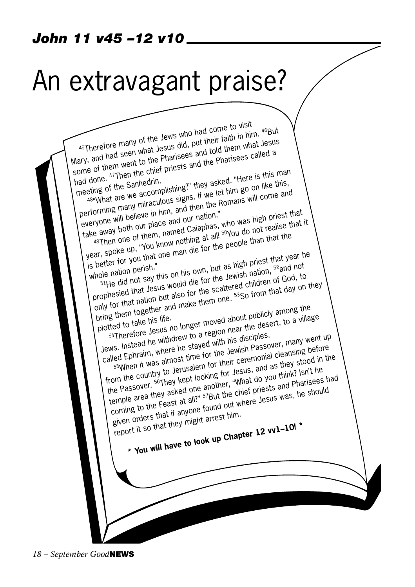#### *John 11 v45 –12 v10*

## An extravagant praise?

45Therefore many of the Jews who had come to visit Mary, and had seen what Jesus did, put their faith in him. 46But some of them went to the Pharisees and told them what Jesus<br>some of them went to the Pharisees and the Pharisees called a<br>had done. <sup>47</sup>Then the chief priests and the Pharisees called a<br>meeting of the Sanhedrin. had done. 47Then the chief priests and the Pharisees called a where is this man same same of the Sanda asked. "Here is this man performing many miraculous signs. If we let him go on like this,<br>performing many miraculous signs. If we let him go on like this,<br>everyone will believe in him, and then the Roman who was high priest that a way both our pla everyone will believe in him, and then the Romans will come and Take away both our place and our national caiaphas, who was high priest that year, spoke up, "You know nothing at all! <sup>50</sup>You do not realise that it<br>year, spoke up, "You know nothing at all! <sup>50</sup>You do not realise that it<br>is better for you that one man die for the people than that the<br>whole nation is better for you that one man die for the people than that the s better to perish."<br>
whole nation perish."<br>  $\frac{51}{100}$  and not say this on his own, but as high nation,  $\frac{52}{100}$  and not<br>  $\frac{1}{1000}$  but also for the scattered children of God, to<br>
prophesied that Jesus would die 51He did not say this on his own, but as high priest that year he only for that nation but also for the scattered children of God, to bring them together and make them one. 53So from that day on they bring them together and make them one. 53So from that day on they bring the potted to take his life. plotted to take his life.<br>
plotted to take his life.<br>
54Therefore Jesus no longer moved about public of the desert, to a village<br>
Jews. Instead he withdrew to a region near the description 54Therefore Jesus no longer moved about publicly among the called Ephraim, where he stayed with his disciples. 55When it was almost time for the Jewish Passover, many went up from the country to Jerusalem for their ceremonial cleansing before the Passover. <sup>56</sup>They kept looking for Jesus, and as they stood in the the Passover. <sup>56</sup>They kept looking for Jesus, and as they stood in the the temple area they asked one another, "What do you think? Isn't he temple area they asked one another, "What do you think? Isn't he coming to the Feast at all?" 57But the chief priests and Pharisees had coming to the Feast at all?" 57But the chief priests and Pharisees had given orders that if anyone found out where Jesus was, he should report it so that they might arrest him. **\* You will have to look up Chapter 12 vv1–10! \***

*18 – September Good***NEWS**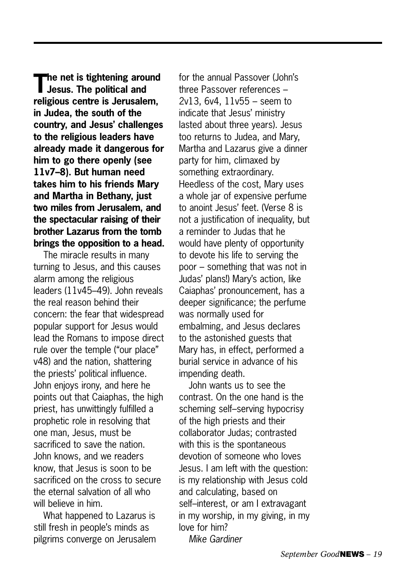**The net is tightening around Jesus. The political and religious centre is Jerusalem, in Judea, the south of the country, and Jesus' challenges to the religious leaders have already made it dangerous for him to go there openly (see 11v7–8). But human need takes him to his friends Mary and Martha in Bethany, just two miles from Jerusalem, and the spectacular raising of their brother Lazarus from the tomb brings the opposition to a head.** 

The miracle results in many turning to Jesus, and this causes alarm among the religious leaders (11v45–49). John reveals the real reason behind their concern: the fear that widespread popular support for Jesus would lead the Romans to impose direct rule over the temple ("our place" v48) and the nation, shattering the priests' political influence. John enjoys irony, and here he points out that Caiaphas, the high priest, has unwittingly fulfilled a prophetic role in resolving that one man, Jesus, must be sacrificed to save the nation. John knows, and we readers know, that Jesus is soon to be sacrificed on the cross to secure the eternal salvation of all who will believe in him.

What happened to Lazarus is still fresh in people's minds as pilgrims converge on Jerusalem for the annual Passover (John's three Passover references – 2v13, 6v4, 11v55 – seem to indicate that Jesus' ministry lasted about three years). Jesus too returns to Judea, and Mary, Martha and Lazarus give a dinner party for him, climaxed by something extraordinary. Heedless of the cost, Mary uses a whole jar of expensive perfume to anoint Jesus' feet. (Verse 8 is not a justification of inequality, but a reminder to Judas that he would have plenty of opportunity to devote his life to serving the poor – something that was not in Judas' plans!) Mary's action, like Caiaphas' pronouncement, has a deeper significance; the perfume was normally used for embalming, and Jesus declares to the astonished guests that Mary has, in effect, performed a burial service in advance of his impending death.

John wants us to see the contrast. On the one hand is the scheming self–serving hypocrisy of the high priests and their collaborator Judas; contrasted with this is the spontaneous devotion of someone who loves Jesus. I am left with the question: is my relationship with Jesus cold and calculating, based on self–interest, or am I extravagant in my worship, in my giving, in my love for him? *Mike Gardiner*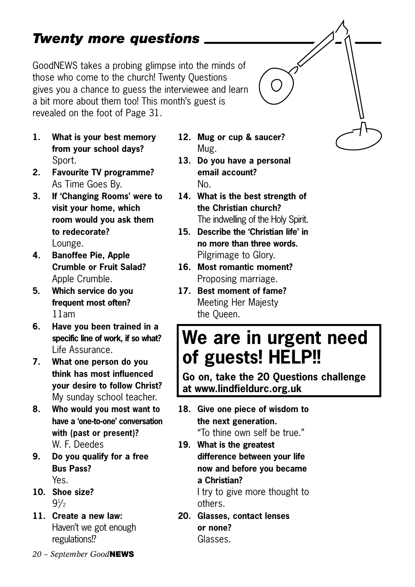#### *Twenty more questions*

GoodNEWS takes a probing glimpse into the minds of those who come to the church! Twenty Questions gives you a chance to guess the interviewee and learn a bit more about them too! This month's guest is revealed on the foot of Page 31.

- **1. What is your best memory from your school days?** Sport.
- **2. Favourite TV programme?** As Time Goes By.
- **3. If 'Changing Rooms' were to visit your home, which room would you ask them to redecorate?** Lounge.
- **4. Banoffee Pie, Apple Crumble or Fruit Salad?** Apple Crumble.
- **5. Which service do you frequent most often?** 11am
- **6. Have you been trained in a specific line of work, if so what?** Life Assurance.
- **7. What one person do you think has most influenced your desire to follow Christ?** My sunday school teacher.
- **8. Who would you most want to have a 'one-to-one' conversation with (past or present)?** W. F. Deedes
- **9. Do you qualify for a free Bus Pass?** Yes.
- **10. Shoe size?**  $9\frac{1}{2}$
- **11. Create a new law:** Haven't we got enough regulations!?
- *20 September Good***NEWS**
- **12. Mug or cup & saucer?** Mug.
- **13. Do you have a personal email account?** No.
- **14. What is the best strength of the Christian church?** The indwelling of the Holy Spirit.
- **15. Describe the 'Christian life' in no more than three words.** Pilgrimage to Glory.
- **16. Most romantic moment?** Proposing marriage.
- **17. Best moment of fame?** Meeting Her Majesty the Queen.

### **We are in urgent need of guests! HELP!!**

**Go on, take the 20 Questions challenge at www.lindfieldurc.org.uk**

- **18. Give one piece of wisdom to the next generation.** "To thine own self be true."
- **19. What is the greatest difference between your life now and before you became a Christian?**

I try to give more thought to others.

**20. Glasses, contact lenses or none?** Glasses.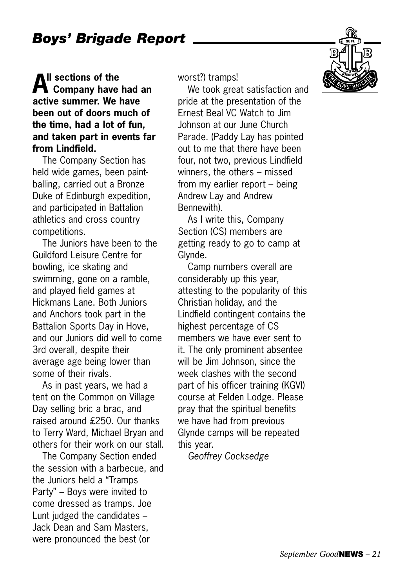#### **All sections of the Company have had an active summer. We have been out of doors much of the time, had a lot of fun, and taken part in events far from Lindfield.**

The Company Section has held wide games, been paintballing, carried out a Bronze Duke of Edinburgh expedition, and participated in Battalion athletics and cross country competitions.

The Juniors have been to the Guildford Leisure Centre for bowling, ice skating and swimming, gone on a ramble, and played field games at Hickmans Lane. Both Juniors and Anchors took part in the Battalion Sports Day in Hove, and our Juniors did well to come 3rd overall, despite their average age being lower than some of their rivals.

As in past years, we had a tent on the Common on Village Day selling bric a brac, and raised around £250. Our thanks to Terry Ward, Michael Bryan and others for their work on our stall.

The Company Section ended the session with a barbecue, and the Juniors held a "Tramps Party" – Boys were invited to come dressed as tramps. Joe Lunt judged the candidates – Jack Dean and Sam Masters, were pronounced the best (or

worst?) tramps!

We took great satisfaction and pride at the presentation of the Ernest Beal VC Watch to Jim Johnson at our June Church Parade. (Paddy Lay has pointed out to me that there have been four, not two, previous Lindfield winners, the others – missed from my earlier report – being Andrew Lay and Andrew Bennewith).

As I write this, Company Section (CS) members are getting ready to go to camp at Glynde.

Camp numbers overall are considerably up this year, attesting to the popularity of this Christian holiday, and the Lindfield contingent contains the highest percentage of CS members we have ever sent to it. The only prominent absentee will be Jim Johnson, since the week clashes with the second part of his officer training (KGVI) course at Felden Lodge. Please pray that the spiritual benefits we have had from previous Glynde camps will be repeated this year.

*Geoffrey Cocksedge*

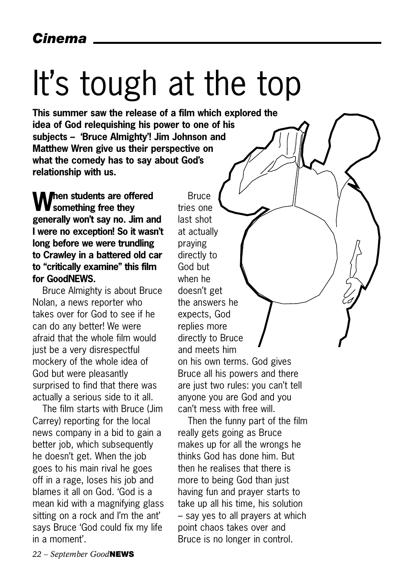# It's tough at the top

**This summer saw the release of a film which explored the idea of God relequishing his power to one of his subjects – 'Bruce Almighty'! Jim Johnson and Matthew Wren give us their perspective on what the comedy has to say about God's relationship with us.**

**M** nen students are offered **something free they generally won't say no. Jim and I were no exception! So it wasn't long before we were trundling to Crawley in a battered old car to "critically examine" this film for GoodNEWS.**

Bruce Almighty is about Bruce Nolan, a news reporter who takes over for God to see if he can do any better! We were afraid that the whole film would just be a very disrespectful mockery of the whole idea of God but were pleasantly surprised to find that there was actually a serious side to it all.

The film starts with Bruce (Jim Carrey) reporting for the local news company in a bid to gain a better job, which subsequently he doesn't get. When the job goes to his main rival he goes off in a rage, loses his job and blames it all on God. 'God is a mean kid with a magnifying glass sitting on a rock and I'm the ant' says Bruce 'God could fix my life in a moment'.

**Bruce** tries one last shot at actually praying directly to God but when he doesn't get the answers he expects, God replies more directly to Bruce and meets him on his own terms. God gives Bruce all his powers and there are just two rules: you can't tell anyone you are God and you can't mess with free will.

Then the funny part of the film really gets going as Bruce makes up for all the wrongs he thinks God has done him. But then he realises that there is more to being God than just having fun and prayer starts to take up all his time, his solution – say yes to all prayers at which point chaos takes over and Bruce is no longer in control.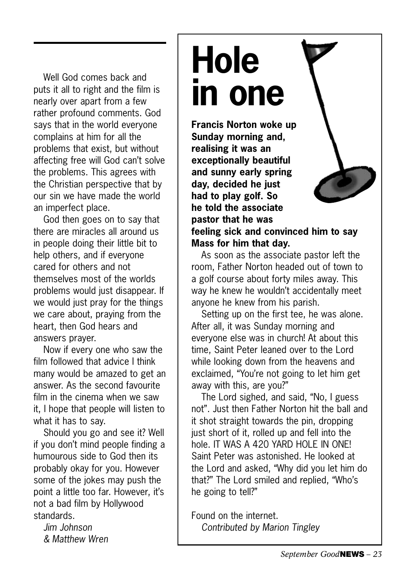Well God comes back and puts it all to right and the film is nearly over apart from a few rather profound comments. God says that in the world everyone complains at him for all the problems that exist, but without affecting free will God can't solve the problems. This agrees with the Christian perspective that by our sin we have made the world an imperfect place.

God then goes on to say that there are miracles all around us in people doing their little bit to help others, and if everyone cared for others and not themselves most of the worlds problems would just disappear. If we would just pray for the things we care about, praying from the heart, then God hears and answers prayer.

Now if every one who saw the film followed that advice I think many would be amazed to get an answer. As the second favourite film in the cinema when we saw it, I hope that people will listen to what it has to say.

Should you go and see it? Well if you don't mind people finding a humourous side to God then its probably okay for you. However some of the jokes may push the point a little too far. However, it's not a bad film by Hollywood standards.

*Jim Johnson & Matthew Wren*

# **Hole in one**

**Francis Norton woke up Sunday morning and, realising it was an exceptionally beautiful and sunny early spring day, decided he just had to play golf. So he told the associate pastor that he was feeling sick and convinced him to say Mass for him that day.** 

As soon as the associate pastor left the room, Father Norton headed out of town to a golf course about forty miles away. This way he knew he wouldn't accidentally meet anyone he knew from his parish.

Setting up on the first tee, he was alone. After all, it was Sunday morning and everyone else was in church! At about this time, Saint Peter leaned over to the Lord while looking down from the heavens and exclaimed, "You're not going to let him get away with this, are you?"

The Lord sighed, and said, "No, I guess not". Just then Father Norton hit the ball and it shot straight towards the pin, dropping just short of it, rolled up and fell into the hole. IT WAS A 420 YARD HOLF IN ONE! Saint Peter was astonished. He looked at the Lord and asked, "Why did you let him do that?" The Lord smiled and replied, "Who's he going to tell?"

Found on the internet. *Contributed by Marion Tingley*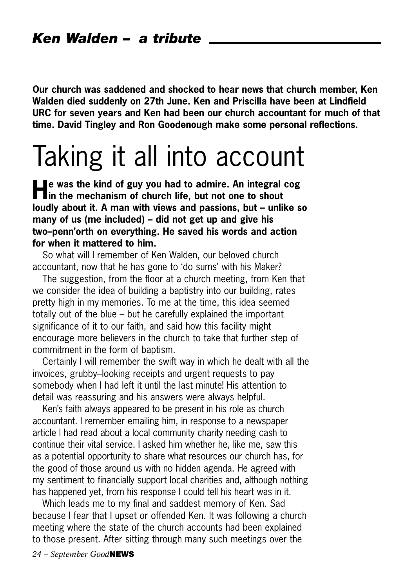**Our church was saddened and shocked to hear news that church member, Ken Walden died suddenly on 27th June. Ken and Priscilla have been at Lindfield URC for seven years and Ken had been our church accountant for much of that time. David Tingley and Ron Goodenough make some personal reflections.**

# Taking it all into account

**He was the kind of guy you had to admire. An integral cog in the mechanism of church life, but not one to shout loudly about it. A man with views and passions, but – unlike so many of us (me included) – did not get up and give his two–penn'orth on everything. He saved his words and action for when it mattered to him.**

So what will I remember of Ken Walden, our beloved church accountant, now that he has gone to 'do sums' with his Maker?

The suggestion, from the floor at a church meeting, from Ken that we consider the idea of building a baptistry into our building, rates pretty high in my memories. To me at the time, this idea seemed totally out of the blue – but he carefully explained the important significance of it to our faith, and said how this facility might encourage more believers in the church to take that further step of commitment in the form of baptism.

Certainly I will remember the swift way in which he dealt with all the invoices, grubby–looking receipts and urgent requests to pay somebody when I had left it until the last minute! His attention to detail was reassuring and his answers were always helpful.

Ken's faith always appeared to be present in his role as church accountant. I remember emailing him, in response to a newspaper article I had read about a local community charity needing cash to continue their vital service. I asked him whether he, like me, saw this as a potential opportunity to share what resources our church has, for the good of those around us with no hidden agenda. He agreed with my sentiment to financially support local charities and, although nothing has happened yet, from his response I could tell his heart was in it.

Which leads me to my final and saddest memory of Ken. Sad because I fear that I upset or offended Ken. It was following a church meeting where the state of the church accounts had been explained to those present. After sitting through many such meetings over the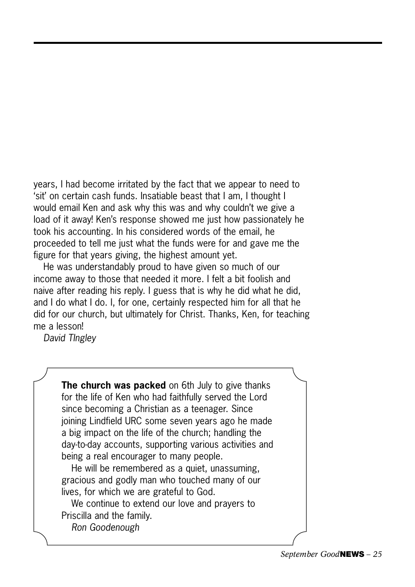years, I had become irritated by the fact that we appear to need to 'sit' on certain cash funds. Insatiable beast that I am, I thought I would email Ken and ask why this was and why couldn't we give a load of it away! Ken's response showed me just how passionately he took his accounting. In his considered words of the email, he proceeded to tell me just what the funds were for and gave me the figure for that years giving, the highest amount yet.

He was understandably proud to have given so much of our income away to those that needed it more. I felt a bit foolish and naive after reading his reply. I guess that is why he did what he did, and I do what I do. I, for one, certainly respected him for all that he did for our church, but ultimately for Christ. Thanks, Ken, for teaching me a lesson!

*David TIngley*

**The church was packed** on 6th July to give thanks for the life of Ken who had faithfully served the Lord since becoming a Christian as a teenager. Since joining Lindfield URC some seven years ago he made a big impact on the life of the church; handling the day-to-day accounts, supporting various activities and being a real encourager to many people.

He will be remembered as a quiet, unassuming, gracious and godly man who touched many of our lives, for which we are grateful to God.

We continue to extend our love and prayers to Priscilla and the family.

*Ron Goodenough*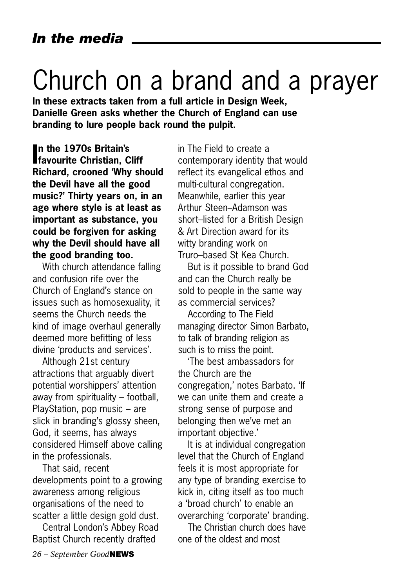# Church on a brand and a prayer

**In these extracts taken from a full article in Design Week, Danielle Green asks whether the Church of England can use branding to lure people back round the pulpit.**

In the 1970s Britain's<br> **I** favourite Christian, Cliff **n the 1970s Britain's Richard, crooned 'Why should the Devil have all the good music?' Thirty years on, in an age where style is at least as important as substance, you could be forgiven for asking why the Devil should have all the good branding too.**

With church attendance falling and confusion rife over the Church of England's stance on issues such as homosexuality, it seems the Church needs the kind of image overhaul generally deemed more befitting of less divine 'products and services'.

Although 21st century attractions that arguably divert potential worshippers' attention away from spirituality – football, PlayStation, pop music – are slick in branding's glossy sheen, God, it seems, has always considered Himself above calling in the professionals.

That said, recent developments point to a growing awareness among religious organisations of the need to scatter a little design gold dust.

Central London's Abbey Road Baptist Church recently drafted

in The Field to create a contemporary identity that would reflect its evangelical ethos and multi-cultural congregation. Meanwhile, earlier this year Arthur Steen–Adamson was short–listed for a British Design & Art Direction award for its witty branding work on Truro–based St Kea Church.

But is it possible to brand God and can the Church really be sold to people in the same way as commercial services?

According to The Field managing director Simon Barbato, to talk of branding religion as such is to miss the point.

'The best ambassadors for the Church are the congregation,' notes Barbato. 'If we can unite them and create a strong sense of purpose and belonging then we've met an important objective.'

It is at individual congregation level that the Church of England feels it is most appropriate for any type of branding exercise to kick in, citing itself as too much a 'broad church' to enable an overarching 'corporate' branding.

The Christian church does have one of the oldest and most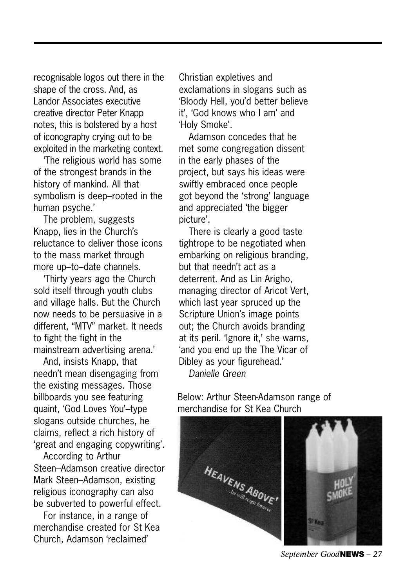recognisable logos out there in the shape of the cross. And, as Landor Associates executive creative director Peter Knapp notes, this is bolstered by a host of iconography crying out to be exploited in the marketing context.

'The religious world has some of the strongest brands in the history of mankind. All that symbolism is deep–rooted in the human psyche.'

The problem, suggests Knapp, lies in the Church's reluctance to deliver those icons to the mass market through more up–to–date channels.

'Thirty years ago the Church sold itself through youth clubs and village halls. But the Church now needs to be persuasive in a different, "MTV" market. It needs to fight the fight in the mainstream advertising arena.'

And, insists Knapp, that needn't mean disengaging from the existing messages. Those billboards you see featuring quaint, 'God Loves You'–type slogans outside churches, he claims, reflect a rich history of 'great and engaging copywriting'.

According to Arthur Steen–Adamson creative director Mark Steen–Adamson, existing religious iconography can also be subverted to powerful effect.

For instance, in a range of merchandise created for St Kea Church, Adamson 'reclaimed'

Christian expletives and exclamations in slogans such as 'Bloody Hell, you'd better believe it', 'God knows who I am' and 'Holy Smoke'.

Adamson concedes that he met some congregation dissent in the early phases of the project, but says his ideas were swiftly embraced once people got beyond the 'strong' language and appreciated 'the bigger picture'.

There is clearly a good taste tightrope to be negotiated when embarking on religious branding, but that needn't act as a deterrent. And as Lin Arigho, managing director of Aricot Vert, which last year spruced up the Scripture Union's image points out; the Church avoids branding at its peril. 'Ignore it,' she warns, 'and you end up the The Vicar of Dibley as your figurehead.' *Danielle Green*

Below: Arthur Steen-Adamson range of merchandise for St Kea Church



*September Good***NEWS** *– 27*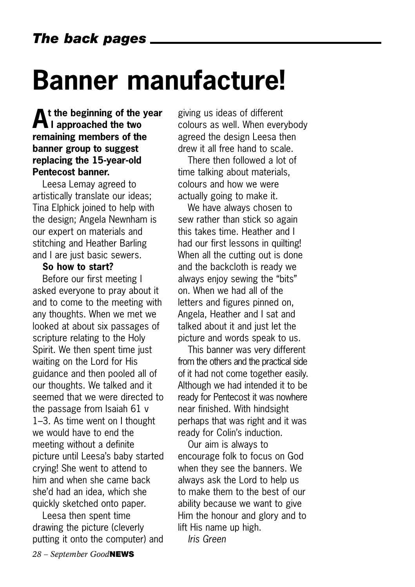# **Banner manufacture!**

**At the beginning of the year I approached the two remaining members of the banner group to suggest replacing the 15-year-old Pentecost banner.** 

Leesa Lemay agreed to artistically translate our ideas; Tina Elphick joined to help with the design; Angela Newnham is our expert on materials and stitching and Heather Barling and I are just basic sewers.

#### **So how to start?**

Before our first meeting I asked everyone to pray about it and to come to the meeting with any thoughts. When we met we looked at about six passages of scripture relating to the Holy Spirit. We then spent time just waiting on the Lord for His guidance and then pooled all of our thoughts. We talked and it seemed that we were directed to the passage from Isaiah 61 v 1–3. As time went on I thought we would have to end the meeting without a definite picture until Leesa's baby started crying! She went to attend to him and when she came back she'd had an idea, which she quickly sketched onto paper.

Leesa then spent time drawing the picture (cleverly putting it onto the computer) and

giving us ideas of different colours as well. When everybody agreed the design Leesa then drew it all free hand to scale.

There then followed a lot of time talking about materials, colours and how we were actually going to make it.

We have always chosen to sew rather than stick so again this takes time. Heather and I had our first lessons in quilting! When all the cutting out is done and the backcloth is ready we always enjoy sewing the "bits" on. When we had all of the letters and figures pinned on, Angela, Heather and I sat and talked about it and just let the picture and words speak to us.

This banner was very different from the others and the practical side of it had not come together easily. Although we had intended it to be ready for Pentecost it was nowhere near finished. With hindsight perhaps that was right and it was ready for Colin's induction.

Our aim is always to encourage folk to focus on God when they see the banners. We always ask the Lord to help us to make them to the best of our ability because we want to give Him the honour and glory and to lift His name up high.

*Iris Green*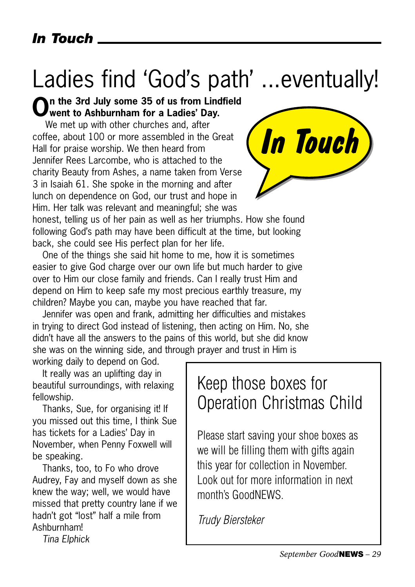# Ladies find 'God's path' ...eventually!

## **On the 3rd July some 35 of us from Lindfield went to Ashburnham for a Ladies' Day.**

We met up with other churches and, after coffee, about 100 or more assembled in the Great Hall for praise worship. We then heard from Jennifer Rees Larcombe, who is attached to the charity Beauty from Ashes, a name taken from Verse 3 in Isaiah 61. She spoke in the morning and after lunch on dependence on God, our trust and hope in Him. Her talk was relevant and meaningful; she was



honest, telling us of her pain as well as her triumphs. How she found following God's path may have been difficult at the time, but looking back, she could see His perfect plan for her life.

One of the things she said hit home to me, how it is sometimes easier to give God charge over our own life but much harder to give over to Him our close family and friends. Can I really trust Him and depend on Him to keep safe my most precious earthly treasure, my children? Maybe you can, maybe you have reached that far.

Jennifer was open and frank, admitting her difficulties and mistakes in trying to direct God instead of listening, then acting on Him. No, she didn't have all the answers to the pains of this world, but she did know she was on the winning side, and through prayer and trust in Him is

working daily to depend on God.

It really was an uplifting day in beautiful surroundings, with relaxing fellowship.

Thanks, Sue, for organising it! If you missed out this time, I think Sue has tickets for a Ladies' Day in November, when Penny Foxwell will be speaking.

Thanks, too, to Fo who drove Audrey, Fay and myself down as she knew the way; well, we would have missed that pretty country lane if we hadn't got "lost" half a mile from Ashburnham!

*Tina Elphick*

### Keep those boxes for Operation Christmas Child

Please start saving your shoe boxes as we will be filling them with gifts again this year for collection in November. Look out for more information in next month's GoodNEWS.

Trudy Biersteker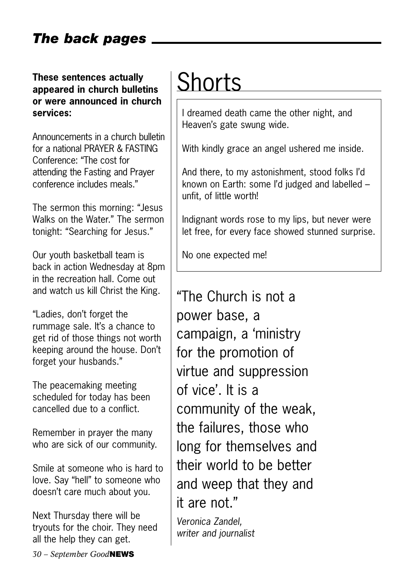#### *The back pages*

**These sentences actually appeared in church bulletins or were announced in church services:**

Announcements in a church bulletin for a national PRAYER & FASTING Conference: "The cost for attending the Fasting and Prayer conference includes meals."

The sermon this morning: "Jesus Walks on the Water." The sermon tonight: "Searching for Jesus."

Our youth basketball team is back in action Wednesday at 8pm in the recreation hall. Come out and watch us kill Christ the King.

"Ladies, don't forget the rummage sale. It's a chance to get rid of those things not worth keeping around the house. Don't forget your husbands."

The peacemaking meeting scheduled for today has been cancelled due to a conflict.

Remember in prayer the many who are sick of our community.

Smile at someone who is hard to love. Say "hell" to someone who doesn't care much about you.

Next Thursday there will be tryouts for the choir. They need all the help they can get.

*30 – September Good***NEWS**

## **Shorts**

I dreamed death came the other night, and Heaven's gate swung wide.

With kindly grace an angel ushered me inside.

And there, to my astonishment, stood folks I'd known on Earth: some I'd judged and labelled – unfit, of little worth!

Indignant words rose to my lips, but never were let free, for every face showed stunned surprise.

No one expected me!

"The Church is not a power base, a campaign, a 'ministry for the promotion of virtue and suppression of vice'. It is a community of the weak, the failures, those who long for themselves and their world to be better and weep that they and it are not."

*Veronica Zandel, writer and journalist*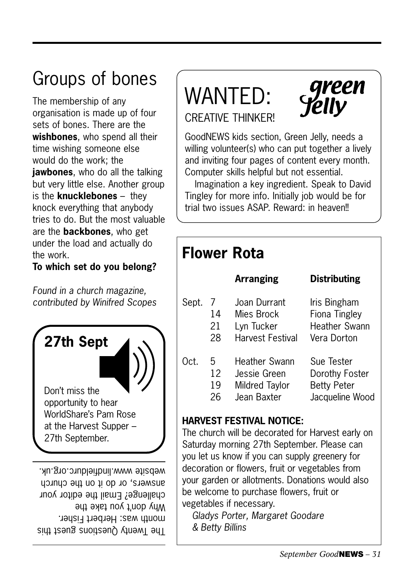### Groups of bones

The membership of any organisation is made up of four sets of bones. There are the **wishbones**, who spend all their time wishing someone else would do the work; the **jawbones**, who do all the talking but very little else. Another group is the **knucklebones** – they knock everything that anybody tries to do. But the most valuable are the **backbones**, who get under the load and actually do the work.

#### **To which set do you belong?**

*Found in a church magazine, contributed by Winifred Scopes*



**SIUL ISONS SUOILSON** AUOMI OUI | & Betty Billins month was: Herbert Fisher. Why don't you take the challenge? Email the editor your answers, or do it on the church

# WANTED:

CREATIVE THINKER!

areen

GoodNEWS kids section, Green Jelly, needs a willing volunteer(s) who can put together a lively and inviting four pages of content every month. Computer skills helpful but not essential.

Imagination a key ingredient. Speak to David Tingley for more info. Initially job would be for trial two issues ASAP. Reward: in heaven!!

### **Flower Rota**

#### **Arranging Distributing**

| Sept. | 14<br>21<br>28 | Joan Durrant<br>Mies Brock<br>Lyn Tucker<br><b>Harvest Festival</b> | Iris Bingham<br>Fiona Tingley<br>Heather Swann<br>Vera Dorton |
|-------|----------------|---------------------------------------------------------------------|---------------------------------------------------------------|
| Oct.  | 5.             | Heather Swann                                                       | Sue Tester                                                    |
|       | 12             | Jessie Green                                                        | Dorothy Foster                                                |
|       | 19             | Mildred Taylor                                                      | <b>Betty Peter</b>                                            |
|       | 26             | Jean Baxter                                                         | Jacqueline Wood                                               |

#### **HARVEST FESTIVAL NOTICE:**

The church will be decorated for Harvest early on Saturday morning 27th September. Please can you let us know if you can supply greenery for decoration or flowers, fruit or vegetables from your garden or allotments. Donations would also be welcome to purchase flowers, fruit or vegetables if necessary.

*Gladys Porter, Margaret Goodare*